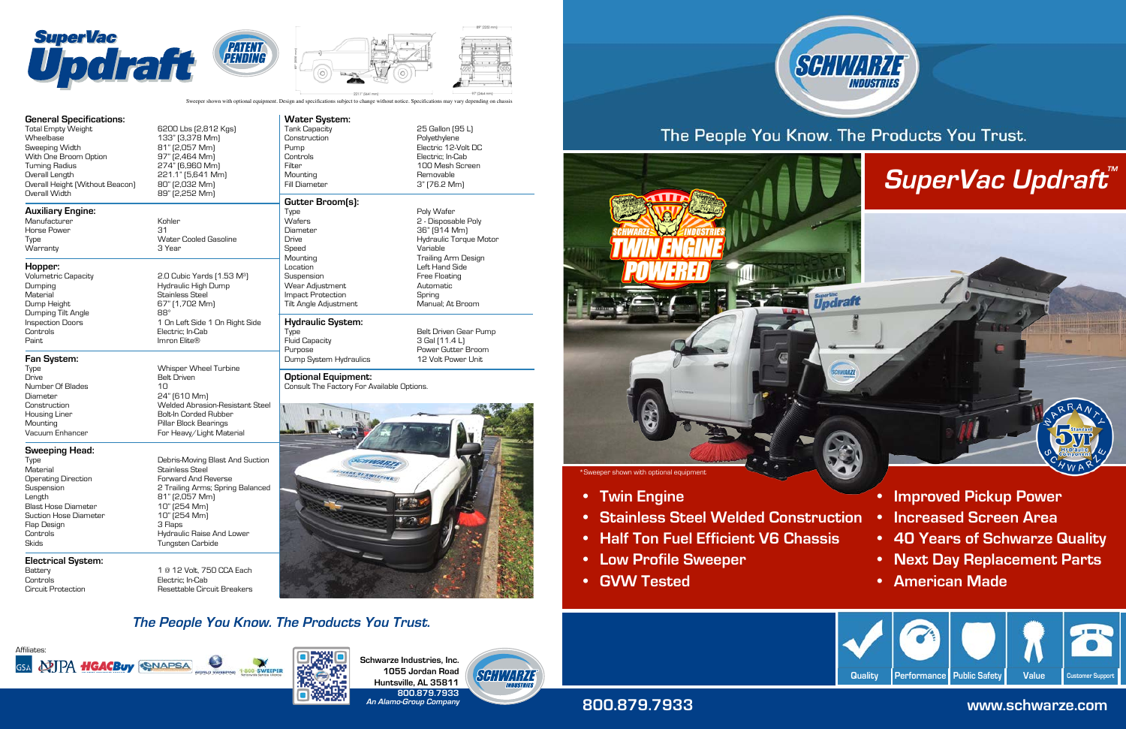



**Schwarze Industries, Inc. 1055 Jordan Road Huntsville, AL 35811 800.879.7933 An Alamo-Group Company**



### **800.879.7933 www.schwarze.com**



- **• Twin Engine**
- **• Stainless Steel Welded Construction**
- **• Half Ton Fuel Efficient V6 Chassis**
- **• Low Profile Sweeper**
- **• GVW Tested**



# The People You Know. The Products You Trust.



**• Improved Pickup Power**

- 
- **• Increased Screen Area**
- **• 40 Years of Schwarze Quality**
- **• Next Day Replacement Parts**
- **• American Made**

Type Whisper Wheel Turbine Drive Belt Driven Diameter 24" (610 Mm) Construction Welded Abrasion-Resistant Steel Housing Liner Bolt-In Corded Rubber Pillar Block Bearings Vacuum Enhancer For Heavy/Light Material

# Type Type The Debris-Moving Blast And Suction<br>Material Material Stainless Steel Stainless Steel Suspension 2 Trailing Arms; Spring Balanced

#### 1 @ 12 Volt, 750 CCA Each Resettable Circuit Breakers

- Operating Direction **Forward And Reverse** Length 81" (2,057 Mm) Blast Hose Diameter 10" (254 Mm) Suction Hose Diameter Flap Design 3 Flaps Controls **Controls Example 2** Hydraulic Raise And Lower Skids Tungsten Carbide
- **Electrical System:** Controls Electric; In-Cab

Construction **Polyethylene** Pump Electric 12-Volt DC Controls Electric; In-Cab Filter 100 Mesh Screen Mounting Removable

## **Gutter Broom(s):**<br>Type

#### **Sweeping Head:**

Number Of Blades

### **Water System:**

- Wafers 2 Disposable Poly Diameter 36" (914 Mm) Drive Hydraulic Torque Motor Speed Variable Mounting Trailing Arm Design Suspension **Free Floating** Wear Adjustment **Automatic** Impact Protection Spring Tilt Angle Adjustment **Hydraulic System:**
- Type Belt Driven Gear Pump Fluid Capacity Purpose Power Gutter Broom Dump System Hydraulics 12 Volt Power Unit

#### **Optional Equipment:** Consult The Factory For Available Options.





Sweeper shown with optional equipment. Design and specifications subject to change without notice. Specifications may vary depending on chassis

25 Gallon (95 L)

3" (76.2 Mm)

Poly Wafer

Left Hand Side

#### **The People You Know. The Products You Trust.**